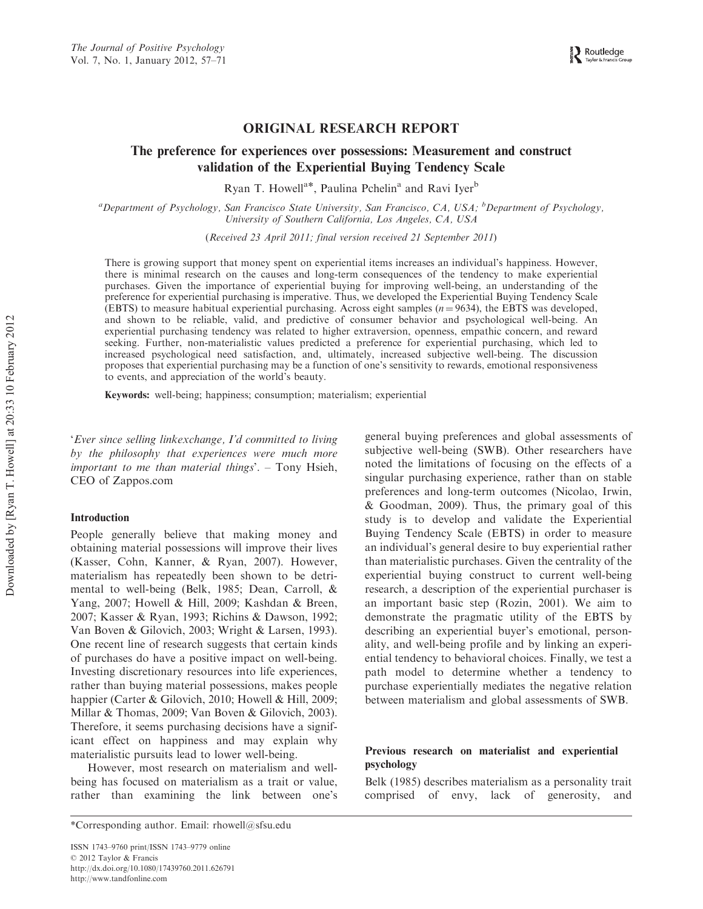## ORIGINAL RESEARCH REPORT

# The preference for experiences over possessions: Measurement and construct validation of the Experiential Buying Tendency Scale

Ryan T. Howell<sup>a\*</sup>, Paulina Pchelin<sup>a</sup> and Ravi Iyer<sup>b</sup>

<sup>a</sup>Department of Psychology, San Francisco State University, San Francisco, CA, USA; <sup>b</sup>Department of Psychology, University of Southern California, Los Angeles, CA, USA

(Received 23 April 2011; final version received 21 September 2011)

There is growing support that money spent on experiential items increases an individual's happiness. However, there is minimal research on the causes and long-term consequences of the tendency to make experiential purchases. Given the importance of experiential buying for improving well-being, an understanding of the preference for experiential purchasing is imperative. Thus, we developed the Experiential Buying Tendency Scale (EBTS) to measure habitual experiential purchasing. Across eight samples  $(n = 9634)$ , the EBTS was developed, and shown to be reliable, valid, and predictive of consumer behavior and psychological well-being. An experiential purchasing tendency was related to higher extraversion, openness, empathic concern, and reward seeking. Further, non-materialistic values predicted a preference for experiential purchasing, which led to increased psychological need satisfaction, and, ultimately, increased subjective well-being. The discussion proposes that experiential purchasing may be a function of one's sensitivity to rewards, emotional responsiveness to events, and appreciation of the world's beauty.

Keywords: well-being; happiness; consumption; materialism; experiential

'Ever since selling linkexchange, I'd committed to living by the philosophy that experiences were much more important to me than material things'. – Tony Hsieh, CEO of Zappos.com

#### Introduction

People generally believe that making money and obtaining material possessions will improve their lives (Kasser, Cohn, Kanner, & Ryan, 2007). However, materialism has repeatedly been shown to be detrimental to well-being (Belk, 1985; Dean, Carroll, & Yang, 2007; Howell & Hill, 2009; Kashdan & Breen, 2007; Kasser & Ryan, 1993; Richins & Dawson, 1992; Van Boven & Gilovich, 2003; Wright & Larsen, 1993). One recent line of research suggests that certain kinds of purchases do have a positive impact on well-being. Investing discretionary resources into life experiences, rather than buying material possessions, makes people happier (Carter & Gilovich, 2010; Howell & Hill, 2009; Millar & Thomas, 2009; Van Boven & Gilovich, 2003). Therefore, it seems purchasing decisions have a significant effect on happiness and may explain why materialistic pursuits lead to lower well-being.

However, most research on materialism and wellbeing has focused on materialism as a trait or value, rather than examining the link between one's

\*Corresponding author. Email: rhowell@sfsu.edu

general buying preferences and global assessments of subjective well-being (SWB). Other researchers have noted the limitations of focusing on the effects of a singular purchasing experience, rather than on stable preferences and long-term outcomes (Nicolao, Irwin, & Goodman, 2009). Thus, the primary goal of this study is to develop and validate the Experiential Buying Tendency Scale (EBTS) in order to measure an individual's general desire to buy experiential rather than materialistic purchases. Given the centrality of the experiential buying construct to current well-being research, a description of the experiential purchaser is an important basic step (Rozin, 2001). We aim to demonstrate the pragmatic utility of the EBTS by describing an experiential buyer's emotional, personality, and well-being profile and by linking an experiential tendency to behavioral choices. Finally, we test a path model to determine whether a tendency to purchase experientially mediates the negative relation between materialism and global assessments of SWB.

## Previous research on materialist and experiential psychology

Belk (1985) describes materialism as a personality trait comprised of envy, lack of generosity, and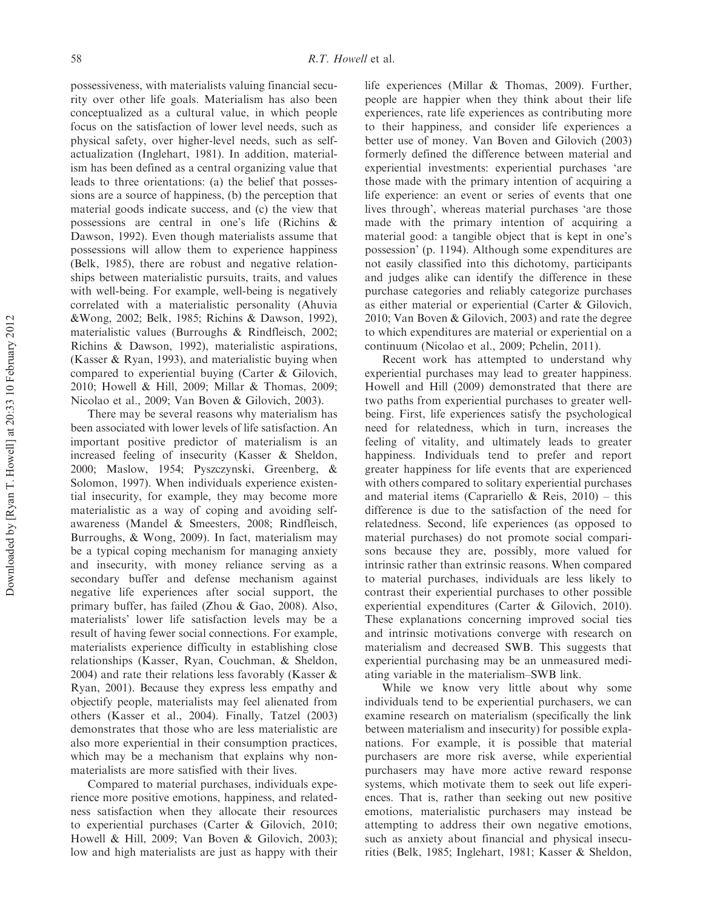possessiveness, with materialists valuing financial security over other life goals. Materialism has also been conceptualized as a cultural value, in which people focus on the satisfaction of lower level needs, such as physical safety, over higher-level needs, such as selfactualization (Inglehart, 1981). In addition, materialism has been defined as a central organizing value that leads to three orientations: (a) the belief that possessions are a source of happiness, (b) the perception that material goods indicate success, and (c) the view that possessions are central in one's life (Richins & Dawson, 1992). Even though materialists assume that possessions will allow them to experience happiness (Belk, 1985), there are robust and negative relationships between materialistic pursuits, traits, and values with well-being. For example, well-being is negatively correlated with a materialistic personality (Ahuvia &Wong, 2002; Belk, 1985; Richins & Dawson, 1992), materialistic values (Burroughs & Rindfleisch, 2002; Richins & Dawson, 1992), materialistic aspirations, (Kasser & Ryan, 1993), and materialistic buying when compared to experiential buying (Carter & Gilovich, 2010; Howell & Hill, 2009; Millar & Thomas, 2009; Nicolao et al., 2009; Van Boven & Gilovich, 2003).

There may be several reasons why materialism has been associated with lower levels of life satisfaction. An important positive predictor of materialism is an increased feeling of insecurity (Kasser & Sheldon, 2000; Maslow, 1954; Pyszczynski, Greenberg, & Solomon, 1997). When individuals experience existential insecurity, for example, they may become more materialistic as a way of coping and avoiding selfawareness (Mandel & Smeesters, 2008; Rindfleisch, Burroughs, & Wong, 2009). In fact, materialism may be a typical coping mechanism for managing anxiety and insecurity, with money reliance serving as a secondary buffer and defense mechanism against negative life experiences after social support, the primary buffer, has failed (Zhou & Gao, 2008). Also, materialists' lower life satisfaction levels may be a result of having fewer social connections. For example, materialists experience difficulty in establishing close relationships (Kasser, Ryan, Couchman, & Sheldon, 2004) and rate their relations less favorably (Kasser & Ryan, 2001). Because they express less empathy and objectify people, materialists may feel alienated from others (Kasser et al., 2004). Finally, Tatzel (2003) demonstrates that those who are less materialistic are also more experiential in their consumption practices, which may be a mechanism that explains why nonmaterialists are more satisfied with their lives.

Compared to material purchases, individuals experience more positive emotions, happiness, and relatedness satisfaction when they allocate their resources to experiential purchases (Carter & Gilovich, 2010; Howell & Hill, 2009; Van Boven & Gilovich, 2003); low and high materialists are just as happy with their life experiences (Millar & Thomas, 2009). Further, people are happier when they think about their life experiences, rate life experiences as contributing more to their happiness, and consider life experiences a better use of money. Van Boven and Gilovich (2003) formerly defined the difference between material and experiential investments: experiential purchases 'are those made with the primary intention of acquiring a life experience: an event or series of events that one lives through', whereas material purchases 'are those made with the primary intention of acquiring a material good: a tangible object that is kept in one's possession' (p. 1194). Although some expenditures are not easily classified into this dichotomy, participants and judges alike can identify the difference in these purchase categories and reliably categorize purchases as either material or experiential (Carter & Gilovich, 2010; Van Boven & Gilovich, 2003) and rate the degree to which expenditures are material or experiential on a continuum (Nicolao et al., 2009; Pchelin, 2011).

Recent work has attempted to understand why experiential purchases may lead to greater happiness. Howell and Hill (2009) demonstrated that there are two paths from experiential purchases to greater wellbeing. First, life experiences satisfy the psychological need for relatedness, which in turn, increases the feeling of vitality, and ultimately leads to greater happiness. Individuals tend to prefer and report greater happiness for life events that are experienced with others compared to solitary experiential purchases and material items (Caprariello & Reis,  $2010$ ) – this difference is due to the satisfaction of the need for relatedness. Second, life experiences (as opposed to material purchases) do not promote social comparisons because they are, possibly, more valued for intrinsic rather than extrinsic reasons. When compared to material purchases, individuals are less likely to contrast their experiential purchases to other possible experiential expenditures (Carter & Gilovich, 2010). These explanations concerning improved social ties and intrinsic motivations converge with research on materialism and decreased SWB. This suggests that experiential purchasing may be an unmeasured mediating variable in the materialism–SWB link.

While we know very little about why some individuals tend to be experiential purchasers, we can examine research on materialism (specifically the link between materialism and insecurity) for possible explanations. For example, it is possible that material purchasers are more risk averse, while experiential purchasers may have more active reward response systems, which motivate them to seek out life experiences. That is, rather than seeking out new positive emotions, materialistic purchasers may instead be attempting to address their own negative emotions, such as anxiety about financial and physical insecurities (Belk, 1985; Inglehart, 1981; Kasser & Sheldon,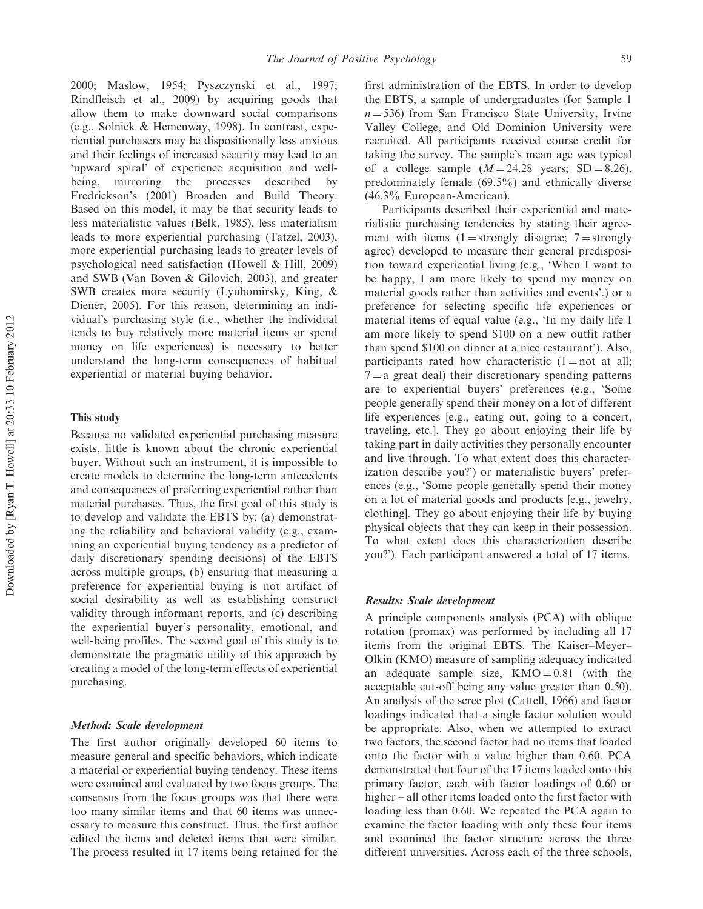2000; Maslow, 1954; Pyszczynski et al., 1997; Rindfleisch et al., 2009) by acquiring goods that allow them to make downward social comparisons (e.g., Solnick & Hemenway, 1998). In contrast, experiential purchasers may be dispositionally less anxious and their feelings of increased security may lead to an 'upward spiral' of experience acquisition and wellbeing, mirroring the processes described by Fredrickson's (2001) Broaden and Build Theory. Based on this model, it may be that security leads to less materialistic values (Belk, 1985), less materialism leads to more experiential purchasing (Tatzel, 2003), more experiential purchasing leads to greater levels of psychological need satisfaction (Howell & Hill, 2009) and SWB (Van Boven & Gilovich, 2003), and greater SWB creates more security (Lyubomirsky, King, & Diener, 2005). For this reason, determining an individual's purchasing style (i.e., whether the individual tends to buy relatively more material items or spend money on life experiences) is necessary to better understand the long-term consequences of habitual experiential or material buying behavior.

### This study

Because no validated experiential purchasing measure exists, little is known about the chronic experiential buyer. Without such an instrument, it is impossible to create models to determine the long-term antecedents and consequences of preferring experiential rather than material purchases. Thus, the first goal of this study is to develop and validate the EBTS by: (a) demonstrating the reliability and behavioral validity (e.g., examining an experiential buying tendency as a predictor of daily discretionary spending decisions) of the EBTS across multiple groups, (b) ensuring that measuring a preference for experiential buying is not artifact of social desirability as well as establishing construct validity through informant reports, and (c) describing the experiential buyer's personality, emotional, and well-being profiles. The second goal of this study is to demonstrate the pragmatic utility of this approach by creating a model of the long-term effects of experiential purchasing.

#### Method: Scale development

The first author originally developed 60 items to measure general and specific behaviors, which indicate a material or experiential buying tendency. These items were examined and evaluated by two focus groups. The consensus from the focus groups was that there were too many similar items and that 60 items was unnecessary to measure this construct. Thus, the first author edited the items and deleted items that were similar. The process resulted in 17 items being retained for the first administration of the EBTS. In order to develop the EBTS, a sample of undergraduates (for Sample 1  $n = 536$ ) from San Francisco State University, Irvine Valley College, and Old Dominion University were recruited. All participants received course credit for taking the survey. The sample's mean age was typical of a college sample  $(M = 24.28$  years; SD = 8.26), predominately female (69.5%) and ethnically diverse (46.3% European-American).

Participants described their experiential and materialistic purchasing tendencies by stating their agreement with items  $(1 =$ strongly disagree;  $7 =$ strongly agree) developed to measure their general predisposition toward experiential living (e.g., 'When I want to be happy, I am more likely to spend my money on material goods rather than activities and events'.) or a preference for selecting specific life experiences or material items of equal value (e.g., 'In my daily life I am more likely to spend \$100 on a new outfit rather than spend \$100 on dinner at a nice restaurant'). Also, participants rated how characteristic  $(1 = not at all;$  $7 = a$  great deal) their discretionary spending patterns are to experiential buyers' preferences (e.g., 'Some people generally spend their money on a lot of different life experiences [e.g., eating out, going to a concert, traveling, etc.]. They go about enjoying their life by taking part in daily activities they personally encounter and live through. To what extent does this characterization describe you?') or materialistic buyers' preferences (e.g., 'Some people generally spend their money on a lot of material goods and products [e.g., jewelry, clothing]. They go about enjoying their life by buying physical objects that they can keep in their possession. To what extent does this characterization describe you?'). Each participant answered a total of 17 items.

### Results: Scale development

A principle components analysis (PCA) with oblique rotation (promax) was performed by including all 17 items from the original EBTS. The Kaiser–Meyer– Olkin (KMO) measure of sampling adequacy indicated an adequate sample size,  $KMO = 0.81$  (with the acceptable cut-off being any value greater than 0.50). An analysis of the scree plot (Cattell, 1966) and factor loadings indicated that a single factor solution would be appropriate. Also, when we attempted to extract two factors, the second factor had no items that loaded onto the factor with a value higher than 0.60. PCA demonstrated that four of the 17 items loaded onto this primary factor, each with factor loadings of 0.60 or higher – all other items loaded onto the first factor with loading less than 0.60. We repeated the PCA again to examine the factor loading with only these four items and examined the factor structure across the three different universities. Across each of the three schools,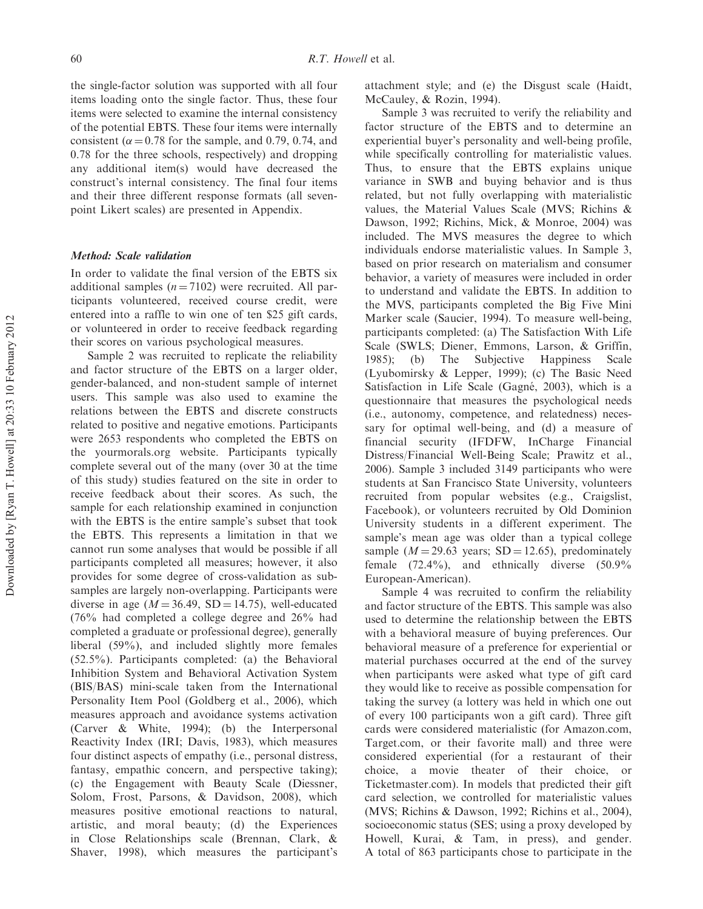the single-factor solution was supported with all four items loading onto the single factor. Thus, these four items were selected to examine the internal consistency of the potential EBTS. These four items were internally consistent ( $\alpha$  = 0.78 for the sample, and 0.79, 0.74, and 0.78 for the three schools, respectively) and dropping any additional item(s) would have decreased the construct's internal consistency. The final four items and their three different response formats (all sevenpoint Likert scales) are presented in Appendix.

### Method: Scale validation

In order to validate the final version of the EBTS six additional samples  $(n = 7102)$  were recruited. All participants volunteered, received course credit, were entered into a raffle to win one of ten \$25 gift cards, or volunteered in order to receive feedback regarding their scores on various psychological measures.

Sample 2 was recruited to replicate the reliability and factor structure of the EBTS on a larger older, gender-balanced, and non-student sample of internet users. This sample was also used to examine the relations between the EBTS and discrete constructs related to positive and negative emotions. Participants were 2653 respondents who completed the EBTS on the yourmorals.org website. Participants typically complete several out of the many (over 30 at the time of this study) studies featured on the site in order to receive feedback about their scores. As such, the sample for each relationship examined in conjunction with the EBTS is the entire sample's subset that took the EBTS. This represents a limitation in that we cannot run some analyses that would be possible if all participants completed all measures; however, it also provides for some degree of cross-validation as subsamples are largely non-overlapping. Participants were diverse in age ( $M = 36.49$ , SD = 14.75), well-educated (76% had completed a college degree and 26% had completed a graduate or professional degree), generally liberal (59%), and included slightly more females (52.5%). Participants completed: (a) the Behavioral Inhibition System and Behavioral Activation System (BIS/BAS) mini-scale taken from the International Personality Item Pool (Goldberg et al., 2006), which measures approach and avoidance systems activation (Carver & White, 1994); (b) the Interpersonal Reactivity Index (IRI; Davis, 1983), which measures four distinct aspects of empathy (i.e., personal distress, fantasy, empathic concern, and perspective taking); (c) the Engagement with Beauty Scale (Diessner, Solom, Frost, Parsons, & Davidson, 2008), which measures positive emotional reactions to natural, artistic, and moral beauty; (d) the Experiences in Close Relationships scale (Brennan, Clark, & Shaver, 1998), which measures the participant's attachment style; and (e) the Disgust scale (Haidt, McCauley, & Rozin, 1994).

Sample 3 was recruited to verify the reliability and factor structure of the EBTS and to determine an experiential buyer's personality and well-being profile, while specifically controlling for materialistic values. Thus, to ensure that the EBTS explains unique variance in SWB and buying behavior and is thus related, but not fully overlapping with materialistic values, the Material Values Scale (MVS; Richins & Dawson, 1992; Richins, Mick, & Monroe, 2004) was included. The MVS measures the degree to which individuals endorse materialistic values. In Sample 3, based on prior research on materialism and consumer behavior, a variety of measures were included in order to understand and validate the EBTS. In addition to the MVS, participants completed the Big Five Mini Marker scale (Saucier, 1994). To measure well-being, participants completed: (a) The Satisfaction With Life Scale (SWLS; Diener, Emmons, Larson, & Griffin, 1985); (b) The Subjective Happiness Scale (Lyubomirsky & Lepper, 1999); (c) The Basic Need Satisfaction in Life Scale (Gagné, 2003), which is a questionnaire that measures the psychological needs (i.e., autonomy, competence, and relatedness) necessary for optimal well-being, and (d) a measure of financial security (IFDFW, InCharge Financial Distress/Financial Well-Being Scale; Prawitz et al., 2006). Sample 3 included 3149 participants who were students at San Francisco State University, volunteers recruited from popular websites (e.g., Craigslist, Facebook), or volunteers recruited by Old Dominion University students in a different experiment. The sample's mean age was older than a typical college sample ( $M = 29.63$  years; SD = 12.65), predominately female (72.4%), and ethnically diverse (50.9% European-American).

Sample 4 was recruited to confirm the reliability and factor structure of the EBTS. This sample was also used to determine the relationship between the EBTS with a behavioral measure of buying preferences. Our behavioral measure of a preference for experiential or material purchases occurred at the end of the survey when participants were asked what type of gift card they would like to receive as possible compensation for taking the survey (a lottery was held in which one out of every 100 participants won a gift card). Three gift cards were considered materialistic (for Amazon.com, Target.com, or their favorite mall) and three were considered experiential (for a restaurant of their choice, a movie theater of their choice, or Ticketmaster.com). In models that predicted their gift card selection, we controlled for materialistic values (MVS; Richins & Dawson, 1992; Richins et al., 2004), socioeconomic status (SES; using a proxy developed by Howell, Kurai, & Tam, in press), and gender. A total of 863 participants chose to participate in the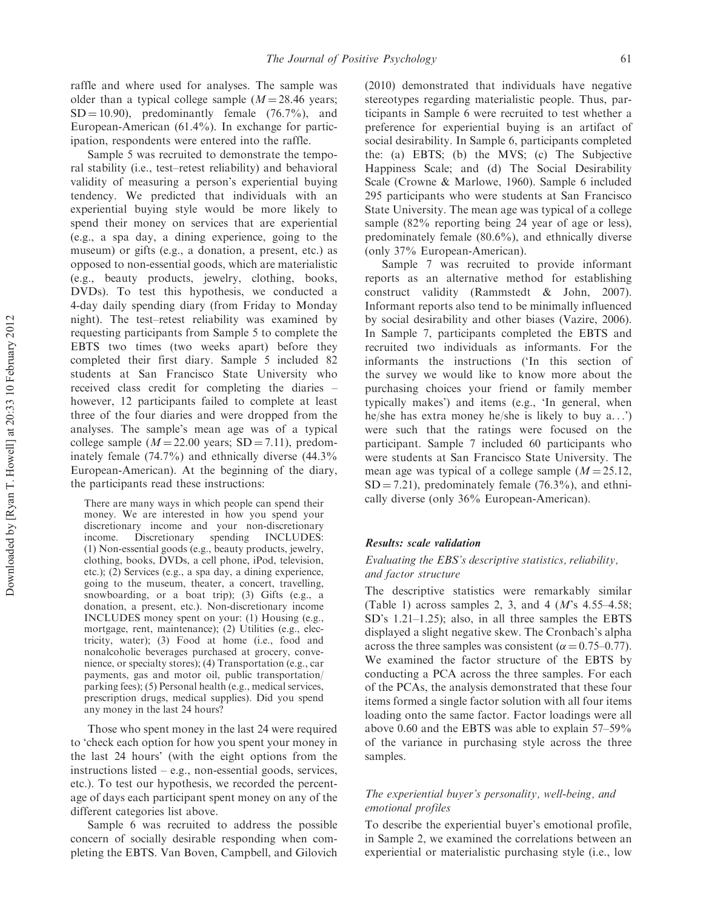raffle and where used for analyses. The sample was older than a typical college sample  $(M = 28.46$  years;  $SD = 10.90$ , predominantly female  $(76.7\%)$ , and European-American (61.4%). In exchange for participation, respondents were entered into the raffle.

Sample 5 was recruited to demonstrate the temporal stability (i.e., test–retest reliability) and behavioral validity of measuring a person's experiential buying tendency. We predicted that individuals with an experiential buying style would be more likely to spend their money on services that are experiential (e.g., a spa day, a dining experience, going to the museum) or gifts (e.g., a donation, a present, etc.) as opposed to non-essential goods, which are materialistic (e.g., beauty products, jewelry, clothing, books, DVDs). To test this hypothesis, we conducted a 4-day daily spending diary (from Friday to Monday night). The test–retest reliability was examined by requesting participants from Sample 5 to complete the EBTS two times (two weeks apart) before they completed their first diary. Sample 5 included 82 students at San Francisco State University who received class credit for completing the diaries – however, 12 participants failed to complete at least three of the four diaries and were dropped from the analyses. The sample's mean age was of a typical college sample  $(M = 22.00$  years; SD = 7.11), predominately female (74.7%) and ethnically diverse (44.3% European-American). At the beginning of the diary, the participants read these instructions:

There are many ways in which people can spend their money. We are interested in how you spend your discretionary income and your non-discretionary income. Discretionary spending INCLUDES: (1) Non-essential goods (e.g., beauty products, jewelry, clothing, books, DVDs, a cell phone, iPod, television, etc.); (2) Services (e.g., a spa day, a dining experience, going to the museum, theater, a concert, travelling, snowboarding, or a boat trip); (3) Gifts (e.g., a donation, a present, etc.). Non-discretionary income INCLUDES money spent on your: (1) Housing (e.g., mortgage, rent, maintenance); (2) Utilities (e.g., electricity, water); (3) Food at home (i.e., food and nonalcoholic beverages purchased at grocery, convenience, or specialty stores); (4) Transportation (e.g., car payments, gas and motor oil, public transportation/ parking fees); (5) Personal health (e.g., medical services, prescription drugs, medical supplies). Did you spend any money in the last 24 hours?

Those who spent money in the last 24 were required to 'check each option for how you spent your money in the last 24 hours' (with the eight options from the instructions listed – e.g., non-essential goods, services, etc.). To test our hypothesis, we recorded the percentage of days each participant spent money on any of the different categories list above.

Sample 6 was recruited to address the possible concern of socially desirable responding when completing the EBTS. Van Boven, Campbell, and Gilovich (2010) demonstrated that individuals have negative stereotypes regarding materialistic people. Thus, participants in Sample 6 were recruited to test whether a preference for experiential buying is an artifact of social desirability. In Sample 6, participants completed the: (a) EBTS; (b) the MVS; (c) The Subjective Happiness Scale; and (d) The Social Desirability Scale (Crowne & Marlowe, 1960). Sample 6 included 295 participants who were students at San Francisco State University. The mean age was typical of a college sample (82% reporting being 24 year of age or less), predominately female (80.6%), and ethnically diverse (only 37% European-American).

Sample 7 was recruited to provide informant reports as an alternative method for establishing construct validity (Rammstedt & John, 2007). Informant reports also tend to be minimally influenced by social desirability and other biases (Vazire, 2006). In Sample 7, participants completed the EBTS and recruited two individuals as informants. For the informants the instructions ('In this section of the survey we would like to know more about the purchasing choices your friend or family member typically makes') and items (e.g., 'In general, when he/she has extra money he/she is likely to buy a...') were such that the ratings were focused on the participant. Sample 7 included 60 participants who were students at San Francisco State University. The mean age was typical of a college sample  $(M = 25.12,$  $SD = 7.21$ , predominately female (76.3%), and ethnically diverse (only 36% European-American).

#### Results: scale validation

## Evaluating the EBS's descriptive statistics, reliability, and factor structure

The descriptive statistics were remarkably similar (Table 1) across samples 2, 3, and 4 ( $M$ 's 4.55–4.58; SD's 1.21–1.25); also, in all three samples the EBTS displayed a slight negative skew. The Cronbach's alpha across the three samples was consistent ( $\alpha$  = 0.75–0.77). We examined the factor structure of the EBTS by conducting a PCA across the three samples. For each of the PCAs, the analysis demonstrated that these four items formed a single factor solution with all four items loading onto the same factor. Factor loadings were all above 0.60 and the EBTS was able to explain 57–59% of the variance in purchasing style across the three samples.

## The experiential buyer's personality, well-being, and emotional profiles

To describe the experiential buyer's emotional profile, in Sample 2, we examined the correlations between an experiential or materialistic purchasing style (i.e., low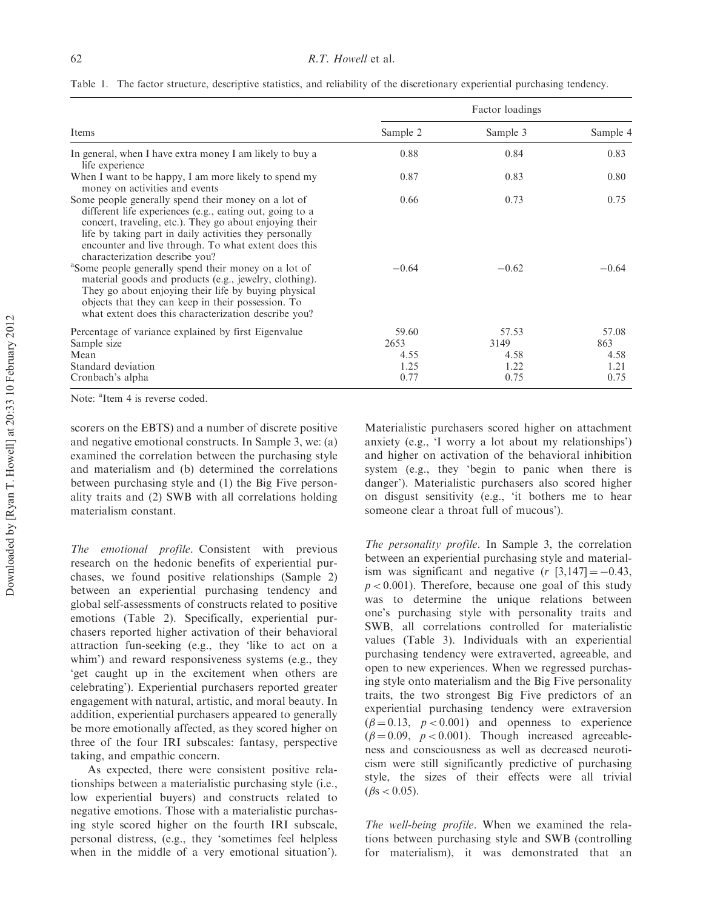Table 1. The factor structure, descriptive statistics, and reliability of the discretionary experiential purchasing tendency.

|                                                                                                                                                                                                                                                                                                                                 | Factor loadings                       |                                       |                                      |  |  |
|---------------------------------------------------------------------------------------------------------------------------------------------------------------------------------------------------------------------------------------------------------------------------------------------------------------------------------|---------------------------------------|---------------------------------------|--------------------------------------|--|--|
| Items                                                                                                                                                                                                                                                                                                                           | Sample 2                              | Sample 3                              | Sample 4                             |  |  |
| In general, when I have extra money I am likely to buy a<br>life experience                                                                                                                                                                                                                                                     | 0.88                                  | 0.84                                  | 0.83                                 |  |  |
| When I want to be happy, I am more likely to spend my<br>money on activities and events                                                                                                                                                                                                                                         | 0.87                                  | 0.83                                  | 0.80                                 |  |  |
| Some people generally spend their money on a lot of<br>different life experiences (e.g., eating out, going to a<br>concert, traveling, etc.). They go about enjoying their<br>life by taking part in daily activities they personally<br>encounter and live through. To what extent does this<br>characterization describe you? | 0.66                                  | 0.73                                  | 0.75                                 |  |  |
| <sup>a</sup> Some people generally spend their money on a lot of<br>material goods and products (e.g., jewelry, clothing).<br>They go about enjoying their life by buying physical<br>objects that they can keep in their possession. To<br>what extent does this characterization describe you?                                | $-0.64$                               | $-0.62$                               | $-0.64$                              |  |  |
| Percentage of variance explained by first Eigenvalue<br>Sample size<br>Mean<br>Standard deviation<br>Cronbach's alpha                                                                                                                                                                                                           | 59.60<br>2653<br>4.55<br>1.25<br>0.77 | 57.53<br>3149<br>4.58<br>1.22<br>0.75 | 57.08<br>863<br>4.58<br>1.21<br>0.75 |  |  |

Note: <sup>a</sup>Item 4 is reverse coded.

scorers on the EBTS) and a number of discrete positive and negative emotional constructs. In Sample 3, we: (a) examined the correlation between the purchasing style and materialism and (b) determined the correlations between purchasing style and (1) the Big Five personality traits and (2) SWB with all correlations holding materialism constant.

The emotional profile. Consistent with previous research on the hedonic benefits of experiential purchases, we found positive relationships (Sample 2) between an experiential purchasing tendency and global self-assessments of constructs related to positive emotions (Table 2). Specifically, experiential purchasers reported higher activation of their behavioral attraction fun-seeking (e.g., they 'like to act on a whim') and reward responsiveness systems (e.g., they 'get caught up in the excitement when others are celebrating'). Experiential purchasers reported greater engagement with natural, artistic, and moral beauty. In addition, experiential purchasers appeared to generally be more emotionally affected, as they scored higher on three of the four IRI subscales: fantasy, perspective taking, and empathic concern.

As expected, there were consistent positive relationships between a materialistic purchasing style (i.e., low experiential buyers) and constructs related to negative emotions. Those with a materialistic purchasing style scored higher on the fourth IRI subscale, personal distress, (e.g., they 'sometimes feel helpless when in the middle of a very emotional situation').

Materialistic purchasers scored higher on attachment anxiety (e.g., 'I worry a lot about my relationships') and higher on activation of the behavioral inhibition system (e.g., they 'begin to panic when there is danger'). Materialistic purchasers also scored higher on disgust sensitivity (e.g., 'it bothers me to hear someone clear a throat full of mucous').

The personality profile. In Sample 3, the correlation between an experiential purchasing style and materialism was significant and negative  $(r [3, 147] = -0.43,$  $p < 0.001$ ). Therefore, because one goal of this study was to determine the unique relations between one's purchasing style with personality traits and SWB, all correlations controlled for materialistic values (Table 3). Individuals with an experiential purchasing tendency were extraverted, agreeable, and open to new experiences. When we regressed purchasing style onto materialism and the Big Five personality traits, the two strongest Big Five predictors of an experiential purchasing tendency were extraversion  $(\beta = 0.13, p < 0.001)$  and openness to experience  $(\beta = 0.09, p < 0.001)$ . Though increased agreeableness and consciousness as well as decreased neuroticism were still significantly predictive of purchasing style, the sizes of their effects were all trivial  $(\beta s < 0.05)$ .

The well-being profile. When we examined the relations between purchasing style and SWB (controlling for materialism), it was demonstrated that an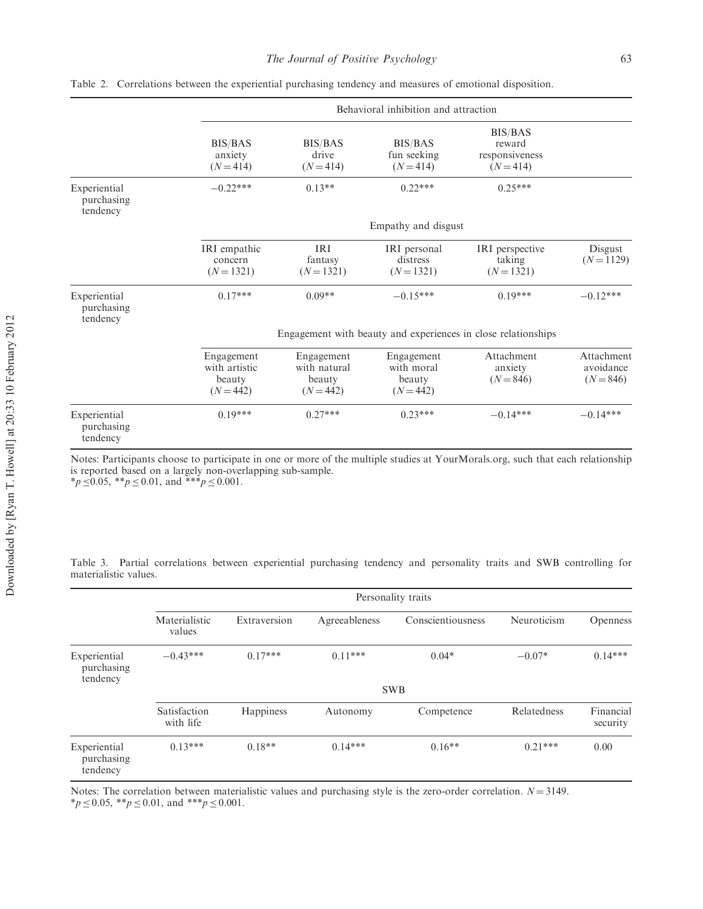|                                        |                                                      | Behavioral inhibition and attraction                          |                                                   |                                                           |                                        |  |  |  |  |
|----------------------------------------|------------------------------------------------------|---------------------------------------------------------------|---------------------------------------------------|-----------------------------------------------------------|----------------------------------------|--|--|--|--|
|                                        | <b>BIS/BAS</b><br>anxiety<br>$(N = 414)$             | <b>BIS/BAS</b><br>drive<br>$(N = 414)$                        | <b>BIS/BAS</b><br>fun seeking<br>$(N = 414)$      | <b>BIS/BAS</b><br>reward<br>responsiveness<br>$(N = 414)$ |                                        |  |  |  |  |
| Experiential<br>purchasing<br>tendency | $-0.22***$                                           | $0.13**$                                                      | $0.22***$                                         | $0.25***$                                                 |                                        |  |  |  |  |
|                                        |                                                      |                                                               | Empathy and disgust                               |                                                           |                                        |  |  |  |  |
|                                        | IRI empathic<br>concern<br>$(N=1321)$                | <b>IRI</b><br>fantasy<br>$(N=1321)$                           | IRI personal<br>distress<br>$(N=1321)$            | IRI perspective<br>taking<br>$(N = 1321)$                 | Disgust<br>$(N = 1129)$                |  |  |  |  |
| Experiential<br>purchasing<br>tendency | $0.17***$                                            | $0.09**$                                                      | $-0.15***$                                        | $0.19***$                                                 | $-0.12***$                             |  |  |  |  |
|                                        |                                                      | Engagement with beauty and experiences in close relationships |                                                   |                                                           |                                        |  |  |  |  |
|                                        | Engagement<br>with artistic<br>beauty<br>$(N = 442)$ | Engagement<br>with natural<br>beauty<br>$(N = 442)$           | Engagement<br>with moral<br>beauty<br>$(N = 442)$ | Attachment<br>anxiety<br>$(N = 846)$                      | Attachment<br>avoidance<br>$(N = 846)$ |  |  |  |  |
| Experiential<br>purchasing<br>tendency | $0.19***$                                            | $0.27***$                                                     | $0.23***$                                         | $-0.14***$                                                | $-0.14***$                             |  |  |  |  |

Table 2. Correlations between the experiential purchasing tendency and measures of emotional disposition.

Notes: Participants choose to participate in one or more of the multiple studies at YourMorals.org, such that each relationship is reported based on a largely non-overlapping sub-sample. \* $p \le 0.05$ , \*\* $p \le 0.01$ , and \*\*\* $p \le 0.001$ .

|                       | Table 3. Partial correlations between experiential purchasing tendency and personality traits and SWB controlling for |  |  |  |  |  |  |
|-----------------------|-----------------------------------------------------------------------------------------------------------------------|--|--|--|--|--|--|
| materialistic values. |                                                                                                                       |  |  |  |  |  |  |

|                                        | Personality traits        |                  |               |                   |             |                       |  |  |
|----------------------------------------|---------------------------|------------------|---------------|-------------------|-------------|-----------------------|--|--|
|                                        | Materialistic<br>values   | Extraversion     | Agreeableness | Conscientiousness | Neuroticism | <b>Openness</b>       |  |  |
| Experiential<br>purchasing<br>tendency | $-0.43***$                | $0.17***$        | $0.11***$     | $0.04*$           | $-0.07*$    | $0.14***$             |  |  |
|                                        | <b>SWB</b>                |                  |               |                   |             |                       |  |  |
|                                        | Satisfaction<br>with life | <b>Happiness</b> | Autonomy      | Competence        | Relatedness | Financial<br>security |  |  |
| Experiential<br>purchasing<br>tendency | $0.13***$                 | $0.18**$         | $0.14***$     | $0.16**$          | $0.21***$   | 0.00                  |  |  |

Notes: The correlation between materialistic values and purchasing style is the zero-order correlation.  $N = 3149$ .  $*_{p} \leq 0.05$ ,  $*_{p} \leq 0.01$ , and  $*_{p} \leq 0.001$ .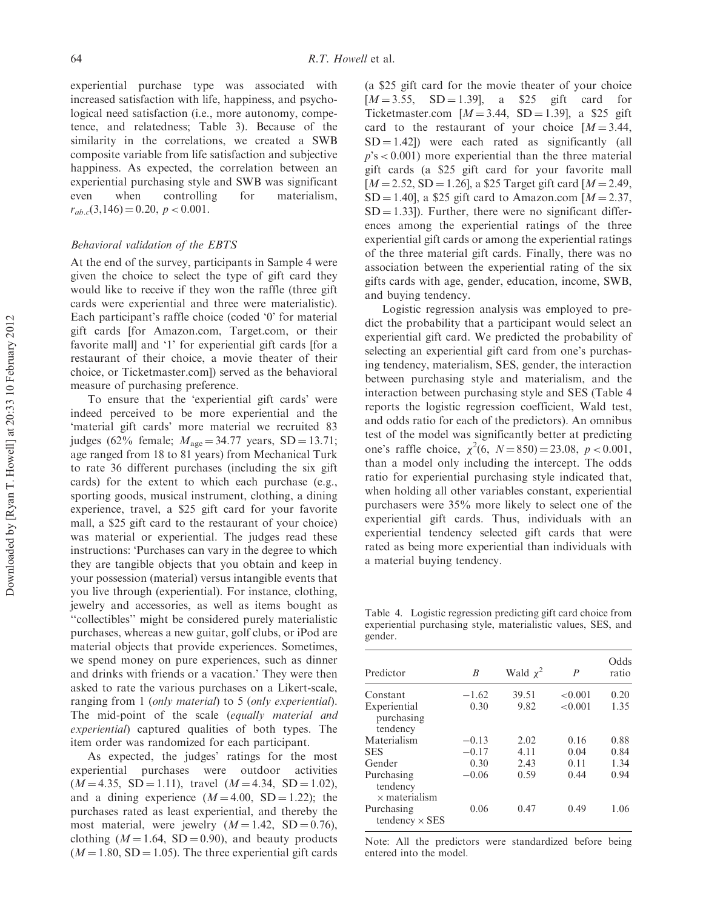experiential purchase type was associated with increased satisfaction with life, happiness, and psychological need satisfaction (i.e., more autonomy, competence, and relatedness; Table 3). Because of the similarity in the correlations, we created a SWB composite variable from life satisfaction and subjective happiness. As expected, the correlation between an experiential purchasing style and SWB was significant even when controlling for materialism,  $r_{ab,c}(3,146) = 0.20, p < 0.001.$ 

### Behavioral validation of the EBTS

At the end of the survey, participants in Sample 4 were given the choice to select the type of gift card they would like to receive if they won the raffle (three gift cards were experiential and three were materialistic). Each participant's raffle choice (coded '0' for material gift cards [for Amazon.com, Target.com, or their favorite mall] and '1' for experiential gift cards [for a restaurant of their choice, a movie theater of their choice, or Ticketmaster.com]) served as the behavioral measure of purchasing preference.

To ensure that the 'experiential gift cards' were indeed perceived to be more experiential and the 'material gift cards' more material we recruited 83 judges (62% female;  $M_{\text{age}} = 34.77$  years, SD = 13.71; age ranged from 18 to 81 years) from Mechanical Turk to rate 36 different purchases (including the six gift cards) for the extent to which each purchase (e.g., sporting goods, musical instrument, clothing, a dining experience, travel, a \$25 gift card for your favorite mall, a \$25 gift card to the restaurant of your choice) was material or experiential. The judges read these instructions: 'Purchases can vary in the degree to which they are tangible objects that you obtain and keep in your possession (material) versus intangible events that you live through (experiential). For instance, clothing, jewelry and accessories, as well as items bought as ''collectibles'' might be considered purely materialistic purchases, whereas a new guitar, golf clubs, or iPod are material objects that provide experiences. Sometimes, we spend money on pure experiences, such as dinner and drinks with friends or a vacation.' They were then asked to rate the various purchases on a Likert-scale, ranging from 1 (*only material*) to 5 (*only experiential*). The mid-point of the scale (equally material and experiential) captured qualities of both types. The item order was randomized for each participant.

As expected, the judges' ratings for the most experiential purchases were outdoor activities  $(M = 4.35, SD = 1.11)$ , travel  $(M = 4.34, SD = 1.02)$ , and a dining experience  $(M = 4.00, SD = 1.22)$ ; the purchases rated as least experiential, and thereby the most material, were jewelry  $(M = 1.42, SD = 0.76)$ , clothing  $(M = 1.64, SD = 0.90)$ , and beauty products  $(M = 1.80, SD = 1.05)$ . The three experiential gift cards (a \$25 gift card for the movie theater of your choice  $[M = 3.55, SD = 1.39], a $25 \text{ gift} \text{card} \text{for}$ Ticketmaster.com  $[M = 3.44, SD = 1.39]$ , a \$25 gift card to the restaurant of your choice  $[M = 3.44]$ ,  $SD = 1.42$ ) were each rated as significantly (all  $p$ 's < 0.001) more experiential than the three material gift cards (a \$25 gift card for your favorite mall  $[M = 2.52, SD = 1.26]$ , a \$25 Target gift card  $[M = 2.49]$ ,  $SD = 1.40$ , a \$25 gift card to Amazon.com  $M = 2.37$ ,  $SD = 1.33$ . Further, there were no significant differences among the experiential ratings of the three experiential gift cards or among the experiential ratings of the three material gift cards. Finally, there was no association between the experiential rating of the six gifts cards with age, gender, education, income, SWB, and buying tendency.

Logistic regression analysis was employed to predict the probability that a participant would select an experiential gift card. We predicted the probability of selecting an experiential gift card from one's purchasing tendency, materialism, SES, gender, the interaction between purchasing style and materialism, and the interaction between purchasing style and SES (Table 4 reports the logistic regression coefficient, Wald test, and odds ratio for each of the predictors). An omnibus test of the model was significantly better at predicting one's raffle choice,  $\chi^2(6, N = 850) = 23.08, p < 0.001$ , than a model only including the intercept. The odds ratio for experiential purchasing style indicated that, when holding all other variables constant, experiential purchasers were 35% more likely to select one of the experiential gift cards. Thus, individuals with an experiential tendency selected gift cards that were rated as being more experiential than individuals with a material buying tendency.

Table 4. Logistic regression predicting gift card choice from experiential purchasing style, materialistic values, SES, and gender.

| Predictor                                      | B       | Wald $\chi^2$ | P          | Odds<br>ratio |
|------------------------------------------------|---------|---------------|------------|---------------|
| Constant                                       | $-1.62$ | 39.51         | < 0.001    | 0.20          |
| Experiential<br>purchasing<br>tendency         | 0.30    | 9.82          | ${<}0.001$ | 1.35          |
| Materialism                                    | $-0.13$ | 2.02          | 0.16       | 0.88          |
| <b>SES</b>                                     | $-0.17$ | 4.11          | 0.04       | 0.84          |
| Gender                                         | 0.30    | 2.43          | 0.11       | 1.34          |
| Purchasing<br>tendency<br>$\times$ materialism | $-0.06$ | 0.59          | 0.44       | 0.94          |
| Purchasing<br>tendency $\times$ SES            | 0.06    | 0.47          | 0.49       | 1.06          |

Note: All the predictors were standardized before being entered into the model.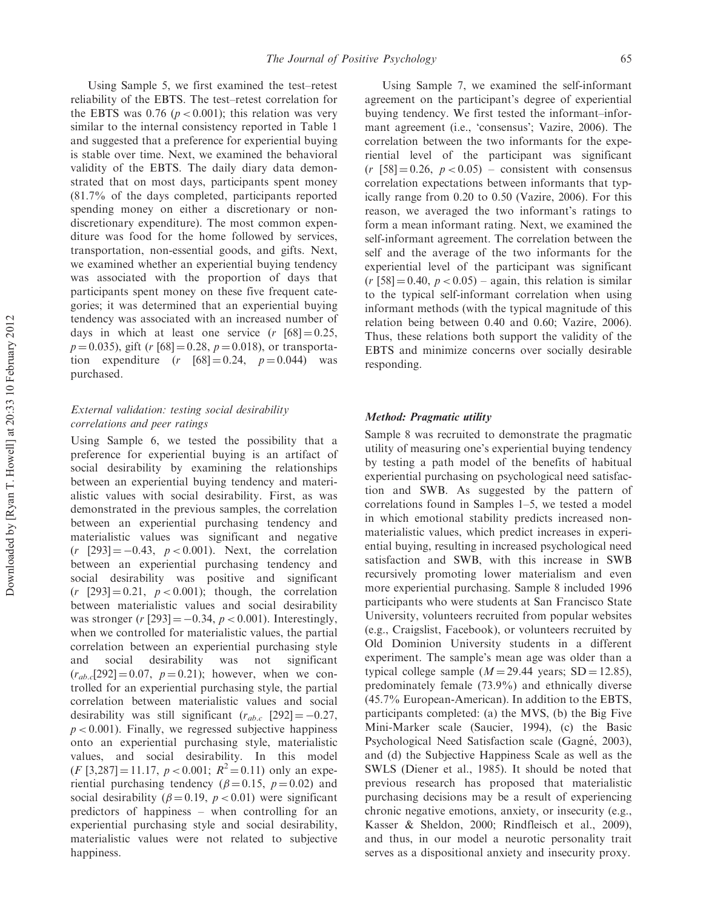Using Sample 5, we first examined the test–retest reliability of the EBTS. The test–retest correlation for the EBTS was 0.76 ( $p < 0.001$ ); this relation was very similar to the internal consistency reported in Table 1 and suggested that a preference for experiential buying is stable over time. Next, we examined the behavioral validity of the EBTS. The daily diary data demonstrated that on most days, participants spent money (81.7% of the days completed, participants reported spending money on either a discretionary or nondiscretionary expenditure). The most common expenditure was food for the home followed by services, transportation, non-essential goods, and gifts. Next, we examined whether an experiential buying tendency was associated with the proportion of days that participants spent money on these five frequent categories; it was determined that an experiential buying tendency was associated with an increased number of days in which at least one service  $(r \mid 68] = 0.25$ ,  $p = 0.035$ ), gift (r [68] = 0.28,  $p = 0.018$ ), or transportation expenditure  $(r [68] = 0.24, p = 0.044)$  was purchased.

## External validation: testing social desirability correlations and peer ratings

Using Sample 6, we tested the possibility that a preference for experiential buying is an artifact of social desirability by examining the relationships between an experiential buying tendency and materialistic values with social desirability. First, as was demonstrated in the previous samples, the correlation between an experiential purchasing tendency and materialistic values was significant and negative  $(r [293] = -0.43, p < 0.001)$ . Next, the correlation between an experiential purchasing tendency and social desirability was positive and significant  $(r [293] = 0.21, p < 0.001)$ ; though, the correlation between materialistic values and social desirability was stronger ( $r$  [293] = -0.34,  $p$  < 0.001). Interestingly, when we controlled for materialistic values, the partial correlation between an experiential purchasing style and social desirability was not significant  $(r_{ab,c}[292] = 0.07, p = 0.21)$ ; however, when we controlled for an experiential purchasing style, the partial correlation between materialistic values and social desirability was still significant  $(r_{ab,c}$  [292] = -0.27,  $p < 0.001$ ). Finally, we regressed subjective happiness onto an experiential purchasing style, materialistic values, and social desirability. In this model  $(F [3,287] = 11.17, p < 0.001; R^2 = 0.11)$  only an experiential purchasing tendency ( $\beta = 0.15$ ,  $p = 0.02$ ) and social desirability ( $\beta = 0.19$ ,  $p < 0.01$ ) were significant predictors of happiness – when controlling for an experiential purchasing style and social desirability, materialistic values were not related to subjective happiness.

Using Sample 7, we examined the self-informant agreement on the participant's degree of experiential buying tendency. We first tested the informant–informant agreement (i.e., 'consensus'; Vazire, 2006). The correlation between the two informants for the experiential level of the participant was significant  $(r$  [58] = 0.26,  $p < 0.05$ ) – consistent with consensus correlation expectations between informants that typically range from 0.20 to 0.50 (Vazire, 2006). For this reason, we averaged the two informant's ratings to form a mean informant rating. Next, we examined the self-informant agreement. The correlation between the self and the average of the two informants for the experiential level of the participant was significant  $(r [58] = 0.40, p < 0.05)$  – again, this relation is similar to the typical self-informant correlation when using informant methods (with the typical magnitude of this relation being between 0.40 and 0.60; Vazire, 2006). Thus, these relations both support the validity of the EBTS and minimize concerns over socially desirable responding.

#### Method: Pragmatic utility

Sample 8 was recruited to demonstrate the pragmatic utility of measuring one's experiential buying tendency by testing a path model of the benefits of habitual experiential purchasing on psychological need satisfaction and SWB. As suggested by the pattern of correlations found in Samples 1–5, we tested a model in which emotional stability predicts increased nonmaterialistic values, which predict increases in experiential buying, resulting in increased psychological need satisfaction and SWB, with this increase in SWB recursively promoting lower materialism and even more experiential purchasing. Sample 8 included 1996 participants who were students at San Francisco State University, volunteers recruited from popular websites (e.g., Craigslist, Facebook), or volunteers recruited by Old Dominion University students in a different experiment. The sample's mean age was older than a typical college sample  $(M = 29.44$  years; SD = 12.85), predominately female (73.9%) and ethnically diverse (45.7% European-American). In addition to the EBTS, participants completed: (a) the MVS, (b) the Big Five Mini-Marker scale (Saucier, 1994), (c) the Basic Psychological Need Satisfaction scale (Gagné, 2003), and (d) the Subjective Happiness Scale as well as the SWLS (Diener et al., 1985). It should be noted that previous research has proposed that materialistic purchasing decisions may be a result of experiencing chronic negative emotions, anxiety, or insecurity (e.g., Kasser & Sheldon, 2000; Rindfleisch et al., 2009), and thus, in our model a neurotic personality trait serves as a dispositional anxiety and insecurity proxy.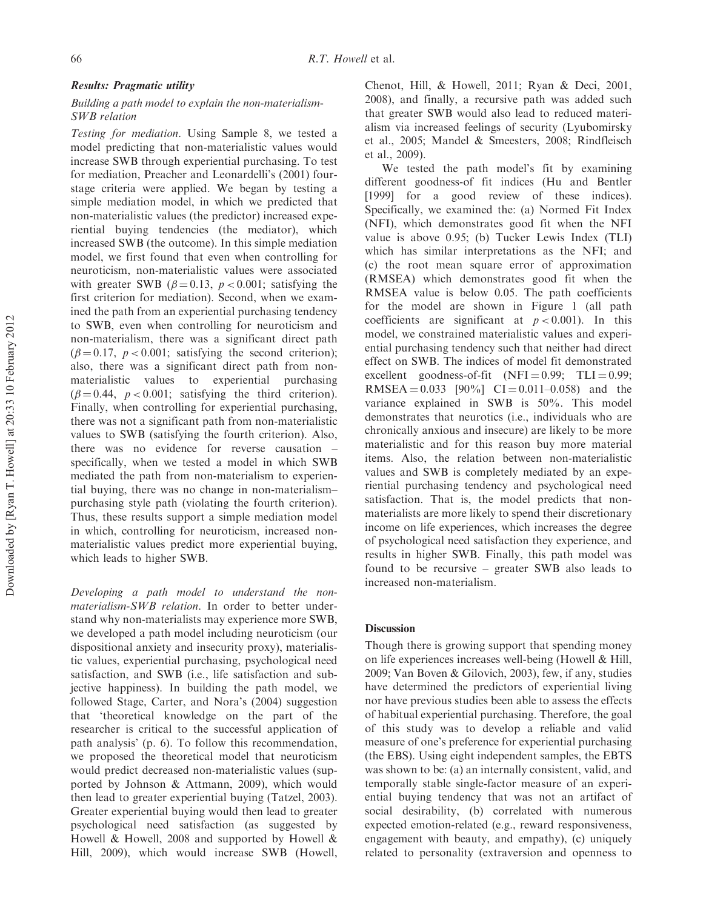#### Results: Pragmatic utility

## Building a path model to explain the non-materialism-SWB relation

Testing for mediation. Using Sample 8, we tested a model predicting that non-materialistic values would increase SWB through experiential purchasing. To test for mediation, Preacher and Leonardelli's (2001) fourstage criteria were applied. We began by testing a simple mediation model, in which we predicted that non-materialistic values (the predictor) increased experiential buying tendencies (the mediator), which increased SWB (the outcome). In this simple mediation model, we first found that even when controlling for neuroticism, non-materialistic values were associated with greater SWB ( $\beta = 0.13$ ,  $p < 0.001$ ; satisfying the first criterion for mediation). Second, when we examined the path from an experiential purchasing tendency to SWB, even when controlling for neuroticism and non-materialism, there was a significant direct path  $(\beta = 0.17, p < 0.001$ ; satisfying the second criterion); also, there was a significant direct path from nonmaterialistic values to experiential purchasing  $(\beta = 0.44, p < 0.001$ ; satisfying the third criterion). Finally, when controlling for experiential purchasing, there was not a significant path from non-materialistic values to SWB (satisfying the fourth criterion). Also, there was no evidence for reverse causation – specifically, when we tested a model in which SWB mediated the path from non-materialism to experiential buying, there was no change in non-materialism– purchasing style path (violating the fourth criterion). Thus, these results support a simple mediation model in which, controlling for neuroticism, increased nonmaterialistic values predict more experiential buying, which leads to higher SWB.

Developing a path model to understand the nonmaterialism-SWB relation. In order to better understand why non-materialists may experience more SWB, we developed a path model including neuroticism (our dispositional anxiety and insecurity proxy), materialistic values, experiential purchasing, psychological need satisfaction, and SWB (i.e., life satisfaction and subjective happiness). In building the path model, we followed Stage, Carter, and Nora's (2004) suggestion that 'theoretical knowledge on the part of the researcher is critical to the successful application of path analysis' (p. 6). To follow this recommendation, we proposed the theoretical model that neuroticism would predict decreased non-materialistic values (supported by Johnson & Attmann, 2009), which would then lead to greater experiential buying (Tatzel, 2003). Greater experiential buying would then lead to greater psychological need satisfaction (as suggested by Howell & Howell, 2008 and supported by Howell & Hill, 2009), which would increase SWB (Howell, Chenot, Hill, & Howell, 2011; Ryan & Deci, 2001, 2008), and finally, a recursive path was added such that greater SWB would also lead to reduced materialism via increased feelings of security (Lyubomirsky et al., 2005; Mandel & Smeesters, 2008; Rindfleisch et al., 2009).

We tested the path model's fit by examining different goodness-of fit indices (Hu and Bentler [1999] for a good review of these indices). Specifically, we examined the: (a) Normed Fit Index (NFI), which demonstrates good fit when the NFI value is above 0.95; (b) Tucker Lewis Index (TLI) which has similar interpretations as the NFI; and (c) the root mean square error of approximation (RMSEA) which demonstrates good fit when the RMSEA value is below 0.05. The path coefficients for the model are shown in Figure 1 (all path coefficients are significant at  $p < 0.001$ ). In this model, we constrained materialistic values and experiential purchasing tendency such that neither had direct effect on SWB. The indices of model fit demonstrated excellent goodness-of-fit  $(NFI = 0.99; TLI = 0.99;$ RMSEA =  $0.033$  [90%] CI = 0.011–0.058) and the variance explained in SWB is 50%. This model demonstrates that neurotics (i.e., individuals who are chronically anxious and insecure) are likely to be more materialistic and for this reason buy more material items. Also, the relation between non-materialistic values and SWB is completely mediated by an experiential purchasing tendency and psychological need satisfaction. That is, the model predicts that nonmaterialists are more likely to spend their discretionary income on life experiences, which increases the degree of psychological need satisfaction they experience, and results in higher SWB. Finally, this path model was found to be recursive – greater SWB also leads to increased non-materialism.

#### **Discussion**

Though there is growing support that spending money on life experiences increases well-being (Howell & Hill, 2009; Van Boven & Gilovich, 2003), few, if any, studies have determined the predictors of experiential living nor have previous studies been able to assess the effects of habitual experiential purchasing. Therefore, the goal of this study was to develop a reliable and valid measure of one's preference for experiential purchasing (the EBS). Using eight independent samples, the EBTS was shown to be: (a) an internally consistent, valid, and temporally stable single-factor measure of an experiential buying tendency that was not an artifact of social desirability, (b) correlated with numerous expected emotion-related (e.g., reward responsiveness, engagement with beauty, and empathy), (c) uniquely related to personality (extraversion and openness to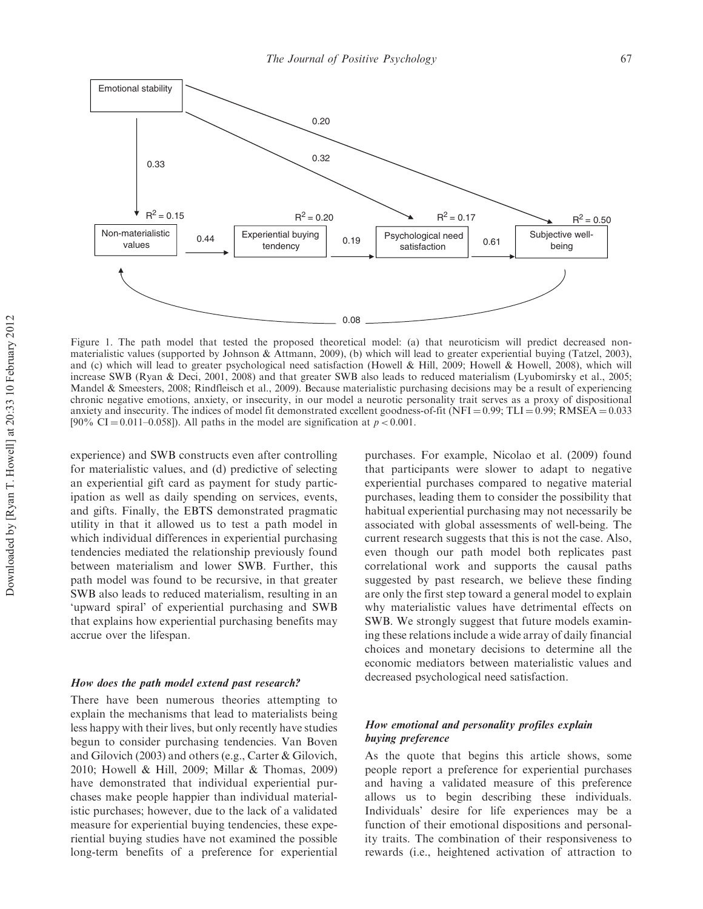

Figure 1. The path model that tested the proposed theoretical model: (a) that neuroticism will predict decreased nonmaterialistic values (supported by Johnson & Attmann, 2009), (b) which will lead to greater experiential buying (Tatzel, 2003), and (c) which will lead to greater psychological need satisfaction (Howell & Hill, 2009; Howell & Howell, 2008), which will increase SWB (Ryan & Deci, 2001, 2008) and that greater SWB also leads to reduced materialism (Lyubomirsky et al., 2005; Mandel & Smeesters, 2008; Rindfleisch et al., 2009). Because materialistic purchasing decisions may be a result of experiencing chronic negative emotions, anxiety, or insecurity, in our model a neurotic personality trait serves as a proxy of dispositional anxiety and insecurity. The indices of model fit demonstrated excellent goodness-of-fit (NFI =  $0.99$ ; TLI =  $0.99$ ; RMSEA =  $0.033$ [90% CI = 0.011–0.058]). All paths in the model are signification at  $p < 0.001$ .

experience) and SWB constructs even after controlling for materialistic values, and (d) predictive of selecting an experiential gift card as payment for study participation as well as daily spending on services, events, and gifts. Finally, the EBTS demonstrated pragmatic utility in that it allowed us to test a path model in which individual differences in experiential purchasing tendencies mediated the relationship previously found between materialism and lower SWB. Further, this path model was found to be recursive, in that greater SWB also leads to reduced materialism, resulting in an 'upward spiral' of experiential purchasing and SWB that explains how experiential purchasing benefits may accrue over the lifespan.

#### How does the path model extend past research?

There have been numerous theories attempting to explain the mechanisms that lead to materialists being less happy with their lives, but only recently have studies begun to consider purchasing tendencies. Van Boven and Gilovich (2003) and others (e.g., Carter & Gilovich, 2010; Howell & Hill, 2009; Millar & Thomas, 2009) have demonstrated that individual experiential purchases make people happier than individual materialistic purchases; however, due to the lack of a validated measure for experiential buying tendencies, these experiential buying studies have not examined the possible long-term benefits of a preference for experiential purchases. For example, Nicolao et al. (2009) found that participants were slower to adapt to negative experiential purchases compared to negative material purchases, leading them to consider the possibility that habitual experiential purchasing may not necessarily be associated with global assessments of well-being. The current research suggests that this is not the case. Also, even though our path model both replicates past correlational work and supports the causal paths suggested by past research, we believe these finding are only the first step toward a general model to explain why materialistic values have detrimental effects on SWB. We strongly suggest that future models examining these relations include a wide array of daily financial choices and monetary decisions to determine all the economic mediators between materialistic values and decreased psychological need satisfaction.

## How emotional and personality profiles explain buying preference

As the quote that begins this article shows, some people report a preference for experiential purchases and having a validated measure of this preference allows us to begin describing these individuals. Individuals' desire for life experiences may be a function of their emotional dispositions and personality traits. The combination of their responsiveness to rewards (i.e., heightened activation of attraction to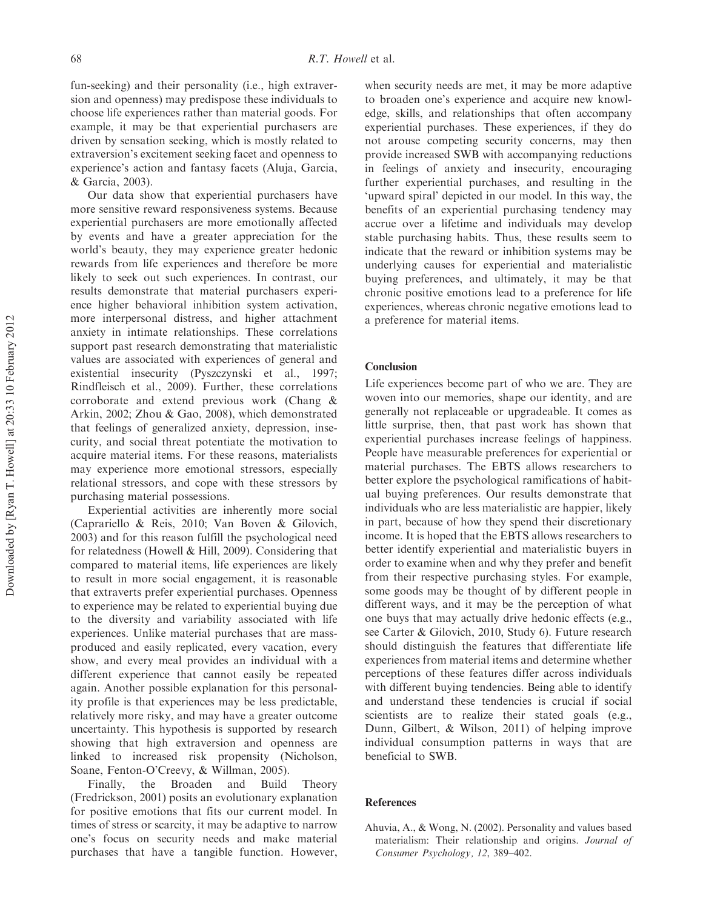fun-seeking) and their personality (i.e., high extraversion and openness) may predispose these individuals to choose life experiences rather than material goods. For example, it may be that experiential purchasers are driven by sensation seeking, which is mostly related to extraversion's excitement seeking facet and openness to experience's action and fantasy facets (Aluja, Garcia, & Garcia, 2003).

Our data show that experiential purchasers have more sensitive reward responsiveness systems. Because experiential purchasers are more emotionally affected by events and have a greater appreciation for the world's beauty, they may experience greater hedonic rewards from life experiences and therefore be more likely to seek out such experiences. In contrast, our results demonstrate that material purchasers experience higher behavioral inhibition system activation, more interpersonal distress, and higher attachment anxiety in intimate relationships. These correlations support past research demonstrating that materialistic values are associated with experiences of general and existential insecurity (Pyszczynski et al., 1997; Rindfleisch et al., 2009). Further, these correlations corroborate and extend previous work (Chang & Arkin, 2002; Zhou & Gao, 2008), which demonstrated that feelings of generalized anxiety, depression, insecurity, and social threat potentiate the motivation to acquire material items. For these reasons, materialists may experience more emotional stressors, especially relational stressors, and cope with these stressors by purchasing material possessions.

Experiential activities are inherently more social (Caprariello & Reis, 2010; Van Boven & Gilovich, 2003) and for this reason fulfill the psychological need for relatedness (Howell & Hill, 2009). Considering that compared to material items, life experiences are likely to result in more social engagement, it is reasonable that extraverts prefer experiential purchases. Openness to experience may be related to experiential buying due to the diversity and variability associated with life experiences. Unlike material purchases that are massproduced and easily replicated, every vacation, every show, and every meal provides an individual with a different experience that cannot easily be repeated again. Another possible explanation for this personality profile is that experiences may be less predictable, relatively more risky, and may have a greater outcome uncertainty. This hypothesis is supported by research showing that high extraversion and openness are linked to increased risk propensity (Nicholson, Soane, Fenton-O'Creevy, & Willman, 2005).

Finally, the Broaden and Build Theory (Fredrickson, 2001) posits an evolutionary explanation for positive emotions that fits our current model. In times of stress or scarcity, it may be adaptive to narrow one's focus on security needs and make material purchases that have a tangible function. However, when security needs are met, it may be more adaptive to broaden one's experience and acquire new knowledge, skills, and relationships that often accompany experiential purchases. These experiences, if they do not arouse competing security concerns, may then provide increased SWB with accompanying reductions in feelings of anxiety and insecurity, encouraging further experiential purchases, and resulting in the 'upward spiral' depicted in our model. In this way, the benefits of an experiential purchasing tendency may accrue over a lifetime and individuals may develop stable purchasing habits. Thus, these results seem to indicate that the reward or inhibition systems may be underlying causes for experiential and materialistic buying preferences, and ultimately, it may be that chronic positive emotions lead to a preference for life experiences, whereas chronic negative emotions lead to a preference for material items.

### Conclusion

Life experiences become part of who we are. They are woven into our memories, shape our identity, and are generally not replaceable or upgradeable. It comes as little surprise, then, that past work has shown that experiential purchases increase feelings of happiness. People have measurable preferences for experiential or material purchases. The EBTS allows researchers to better explore the psychological ramifications of habitual buying preferences. Our results demonstrate that individuals who are less materialistic are happier, likely in part, because of how they spend their discretionary income. It is hoped that the EBTS allows researchers to better identify experiential and materialistic buyers in order to examine when and why they prefer and benefit from their respective purchasing styles. For example, some goods may be thought of by different people in different ways, and it may be the perception of what one buys that may actually drive hedonic effects (e.g., see Carter & Gilovich, 2010, Study 6). Future research should distinguish the features that differentiate life experiences from material items and determine whether perceptions of these features differ across individuals with different buying tendencies. Being able to identify and understand these tendencies is crucial if social scientists are to realize their stated goals (e.g., Dunn, Gilbert, & Wilson, 2011) of helping improve individual consumption patterns in ways that are beneficial to SWB.

### References

Ahuvia, A., & Wong, N. (2002). Personality and values based materialism: Their relationship and origins. Journal of Consumer Psychology, 12, 389–402.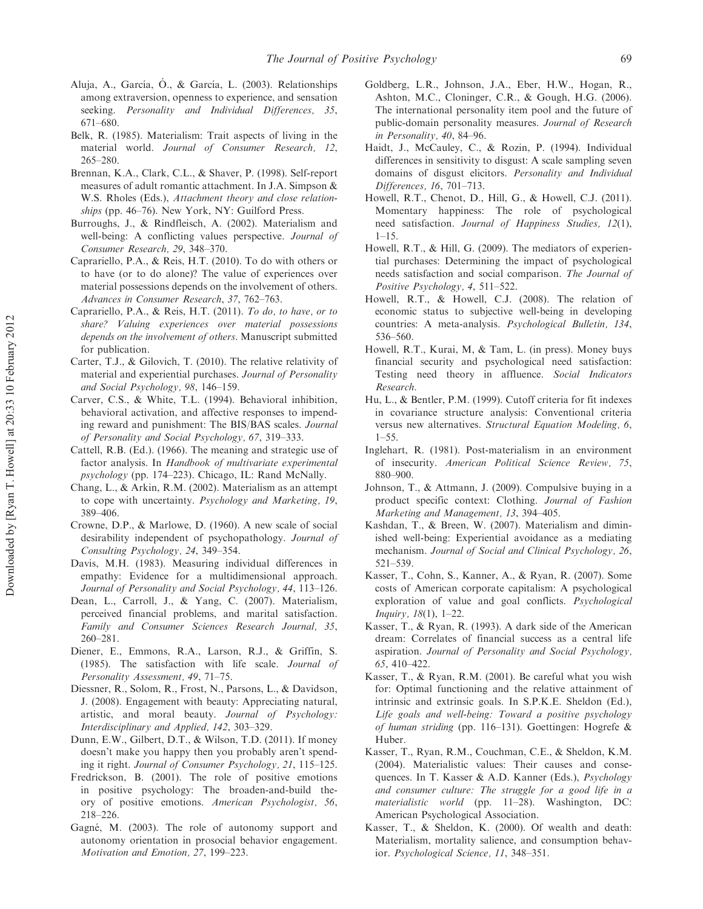- Aluja, A., García, Ó., & García, L. (2003). Relationships among extraversion, openness to experience, and sensation seeking. Personality and Individual Differences, 35, 671–680.
- Belk, R. (1985). Materialism: Trait aspects of living in the material world. Journal of Consumer Research, 12, 265–280.
- Brennan, K.A., Clark, C.L., & Shaver, P. (1998). Self-report measures of adult romantic attachment. In J.A. Simpson & W.S. Rholes (Eds.), Attachment theory and close relationships (pp. 46–76). New York, NY: Guilford Press.
- Burroughs, J., & Rindfleisch, A. (2002). Materialism and well-being: A conflicting values perspective. Journal of Consumer Research, 29, 348–370.
- Caprariello, P.A., & Reis, H.T. (2010). To do with others or to have (or to do alone)? The value of experiences over material possessions depends on the involvement of others. Advances in Consumer Research, 37, 762–763.
- Caprariello, P.A., & Reis, H.T. (2011). To do, to have, or to share? Valuing experiences over material possessions depends on the involvement of others. Manuscript submitted for publication.
- Carter, T.J., & Gilovich, T. (2010). The relative relativity of material and experiential purchases. Journal of Personality and Social Psychology, 98, 146–159.
- Carver, C.S., & White, T.L. (1994). Behavioral inhibition, behavioral activation, and affective responses to impending reward and punishment: The BIS/BAS scales. Journal of Personality and Social Psychology, 67, 319–333.
- Cattell, R.B. (Ed.). (1966). The meaning and strategic use of factor analysis. In Handbook of multivariate experimental psychology (pp. 174–223). Chicago, IL: Rand McNally.
- Chang, L., & Arkin, R.M. (2002). Materialism as an attempt to cope with uncertainty. Psychology and Marketing, 19, 389–406.
- Crowne, D.P., & Marlowe, D. (1960). A new scale of social desirability independent of psychopathology. Journal of Consulting Psychology, 24, 349–354.
- Davis, M.H. (1983). Measuring individual differences in empathy: Evidence for a multidimensional approach. Journal of Personality and Social Psychology, 44, 113–126.
- Dean, L., Carroll, J., & Yang, C. (2007). Materialism, perceived financial problems, and marital satisfaction. Family and Consumer Sciences Research Journal, 35, 260–281.
- Diener, E., Emmons, R.A., Larson, R.J., & Griffin, S. (1985). The satisfaction with life scale. Journal of Personality Assessment, 49, 71–75.
- Diessner, R., Solom, R., Frost, N., Parsons, L., & Davidson, J. (2008). Engagement with beauty: Appreciating natural, artistic, and moral beauty. Journal of Psychology: Interdisciplinary and Applied, 142, 303–329.
- Dunn, E.W., Gilbert, D.T., & Wilson, T.D. (2011). If money doesn't make you happy then you probably aren't spending it right. Journal of Consumer Psychology, 21, 115–125.
- Fredrickson, B. (2001). The role of positive emotions in positive psychology: The broaden-and-build theory of positive emotions. American Psychologist, 56, 218–226.
- Gagné, M. (2003). The role of autonomy support and autonomy orientation in prosocial behavior engagement. Motivation and Emotion, 27, 199–223.
- Goldberg, L.R., Johnson, J.A., Eber, H.W., Hogan, R., Ashton, M.C., Cloninger, C.R., & Gough, H.G. (2006). The international personality item pool and the future of public-domain personality measures. Journal of Research in Personality, 40, 84–96.
- Haidt, J., McCauley, C., & Rozin, P. (1994). Individual differences in sensitivity to disgust: A scale sampling seven domains of disgust elicitors. Personality and Individual Differences, 16, 701–713.
- Howell, R.T., Chenot, D., Hill, G., & Howell, C.J. (2011). Momentary happiness: The role of psychological need satisfaction. Journal of Happiness Studies, 12(1),  $1 - 15$ .
- Howell, R.T., & Hill, G. (2009). The mediators of experiential purchases: Determining the impact of psychological needs satisfaction and social comparison. The Journal of Positive Psychology, 4, 511–522.
- Howell, R.T., & Howell, C.J. (2008). The relation of economic status to subjective well-being in developing countries: A meta-analysis. Psychological Bulletin, 134, 536–560.
- Howell, R.T., Kurai, M, & Tam, L. (in press). Money buys financial security and psychological need satisfaction: Testing need theory in affluence. Social Indicators Research.
- Hu, L., & Bentler, P.M. (1999). Cutoff criteria for fit indexes in covariance structure analysis: Conventional criteria versus new alternatives. Structural Equation Modeling, 6, 1–55.
- Inglehart, R. (1981). Post-materialism in an environment of insecurity. American Political Science Review, 75, 880–900.
- Johnson, T., & Attmann, J. (2009). Compulsive buying in a product specific context: Clothing. Journal of Fashion Marketing and Management, 13, 394–405.
- Kashdan, T., & Breen, W. (2007). Materialism and diminished well-being: Experiential avoidance as a mediating mechanism. Journal of Social and Clinical Psychology, 26, 521–539.
- Kasser, T., Cohn, S., Kanner, A., & Ryan, R. (2007). Some costs of American corporate capitalism: A psychological exploration of value and goal conflicts. Psychological Inquiry, 18(1), 1–22.
- Kasser, T., & Ryan, R. (1993). A dark side of the American dream: Correlates of financial success as a central life aspiration. Journal of Personality and Social Psychology, 65, 410–422.
- Kasser, T., & Ryan, R.M. (2001). Be careful what you wish for: Optimal functioning and the relative attainment of intrinsic and extrinsic goals. In S.P.K.E. Sheldon (Ed.), Life goals and well-being: Toward a positive psychology of human striding (pp. 116–131). Goettingen: Hogrefe & Huber.
- Kasser, T., Ryan, R.M., Couchman, C.E., & Sheldon, K.M. (2004). Materialistic values: Their causes and consequences. In T. Kasser & A.D. Kanner (Eds.), Psychology and consumer culture: The struggle for a good life in a materialistic world (pp. 11–28). Washington, DC: American Psychological Association.
- Kasser, T., & Sheldon, K. (2000). Of wealth and death: Materialism, mortality salience, and consumption behavior. Psychological Science, 11, 348–351.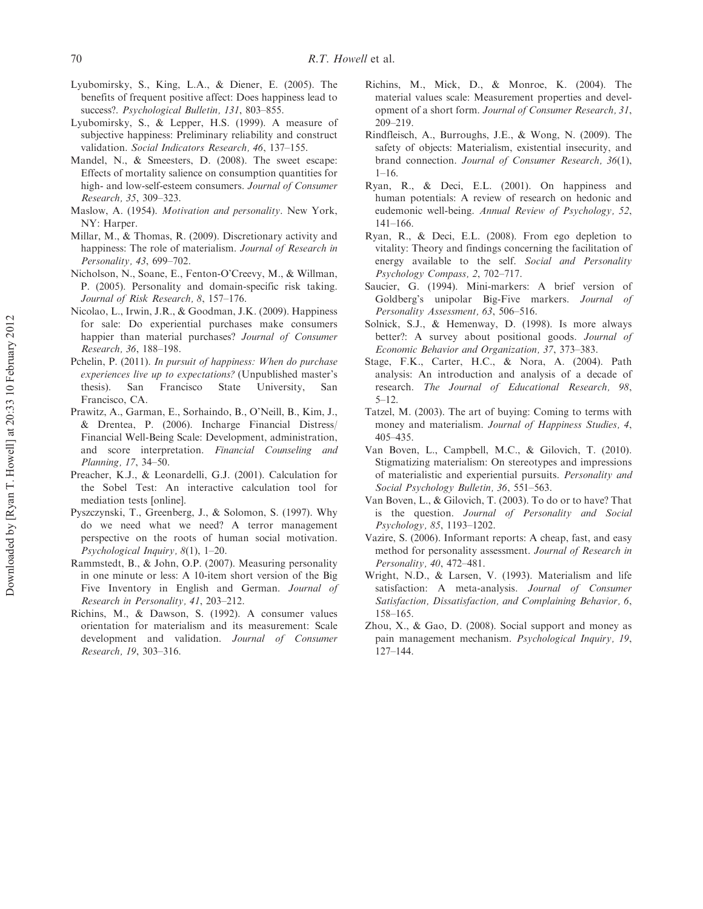- Lyubomirsky, S., King, L.A., & Diener, E. (2005). The benefits of frequent positive affect: Does happiness lead to success?. Psychological Bulletin, 131, 803–855.
- Lyubomirsky, S., & Lepper, H.S. (1999). A measure of subjective happiness: Preliminary reliability and construct validation. Social Indicators Research, 46, 137–155.
- Mandel, N., & Smeesters, D. (2008). The sweet escape: Effects of mortality salience on consumption quantities for high- and low-self-esteem consumers. Journal of Consumer Research, 35, 309–323.
- Maslow, A. (1954). Motivation and personality. New York, NY: Harper.
- Millar, M., & Thomas, R. (2009). Discretionary activity and happiness: The role of materialism. Journal of Research in Personality, 43, 699–702.
- Nicholson, N., Soane, E., Fenton-O'Creevy, M., & Willman, P. (2005). Personality and domain-specific risk taking. Journal of Risk Research, 8, 157–176.
- Nicolao, L., Irwin, J.R., & Goodman, J.K. (2009). Happiness for sale: Do experiential purchases make consumers happier than material purchases? Journal of Consumer Research, 36, 188–198.
- Pchelin, P. (2011). In pursuit of happiness: When do purchase experiences live up to expectations? (Unpublished master's thesis). San Francisco State University, San Francisco, CA.
- Prawitz, A., Garman, E., Sorhaindo, B., O'Neill, B., Kim, J., & Drentea, P. (2006). Incharge Financial Distress/ Financial Well-Being Scale: Development, administration, and score interpretation. Financial Counseling and Planning, 17, 34–50.
- Preacher, K.J., & Leonardelli, G.J. (2001). Calculation for the Sobel Test: An interactive calculation tool for mediation tests [online].
- Pyszczynski, T., Greenberg, J., & Solomon, S. (1997). Why do we need what we need? A terror management perspective on the roots of human social motivation. Psychological Inquiry, 8(1), 1–20.
- Rammstedt, B., & John, O.P. (2007). Measuring personality in one minute or less: A 10-item short version of the Big Five Inventory in English and German. Journal of Research in Personality, 41, 203–212.
- Richins, M., & Dawson, S. (1992). A consumer values orientation for materialism and its measurement: Scale development and validation. Journal of Consumer Research, 19, 303–316.
- Richins, M., Mick, D., & Monroe, K. (2004). The material values scale: Measurement properties and development of a short form. Journal of Consumer Research, 31, 209–219.
- Rindfleisch, A., Burroughs, J.E., & Wong, N. (2009). The safety of objects: Materialism, existential insecurity, and brand connection. Journal of Consumer Research, 36(1),  $1-16$ .
- Ryan, R., & Deci, E.L. (2001). On happiness and human potentials: A review of research on hedonic and eudemonic well-being. Annual Review of Psychology, 52, 141–166.
- Ryan, R., & Deci, E.L. (2008). From ego depletion to vitality: Theory and findings concerning the facilitation of energy available to the self. Social and Personality Psychology Compass, 2, 702–717.
- Saucier, G. (1994). Mini-markers: A brief version of Goldberg's unipolar Big-Five markers. Journal of Personality Assessment, 63, 506–516.
- Solnick, S.J., & Hemenway, D. (1998). Is more always better?: A survey about positional goods. Journal of Economic Behavior and Organization, 37, 373–383.
- Stage, F.K., Carter, H.C., & Nora, A. (2004). Path analysis: An introduction and analysis of a decade of research. The Journal of Educational Research, 98, 5–12.
- Tatzel, M. (2003). The art of buying: Coming to terms with money and materialism. Journal of Happiness Studies, 4, 405–435.
- Van Boven, L., Campbell, M.C., & Gilovich, T. (2010). Stigmatizing materialism: On stereotypes and impressions of materialistic and experiential pursuits. Personality and Social Psychology Bulletin, 36, 551–563.
- Van Boven, L., & Gilovich, T. (2003). To do or to have? That is the question. Journal of Personality and Social Psychology, 85, 1193–1202.
- Vazire, S. (2006). Informant reports: A cheap, fast, and easy method for personality assessment. Journal of Research in Personality, 40, 472–481.
- Wright, N.D., & Larsen, V. (1993). Materialism and life satisfaction: A meta-analysis. Journal of Consumer Satisfaction, Dissatisfaction, and Complaining Behavior, 6, 158–165.
- Zhou, X., & Gao, D. (2008). Social support and money as pain management mechanism. Psychological Inquiry, 19, 127–144.